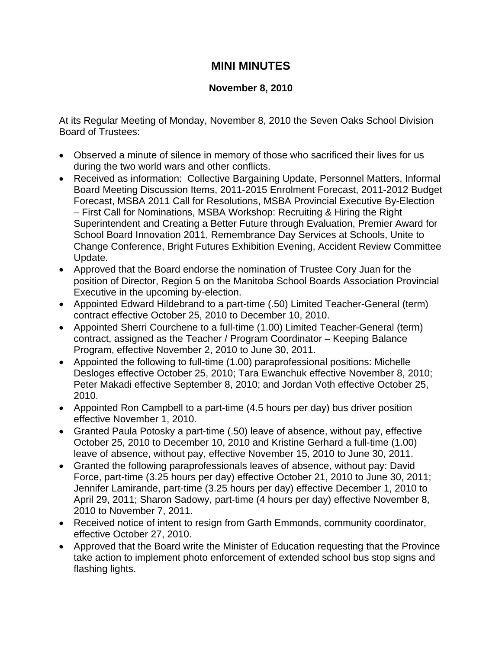## **MINI MINUTES**

## **November 8, 2010**

At its Regular Meeting of Monday, November 8, 2010 the Seven Oaks School Division Board of Trustees:

- Observed a minute of silence in memory of those who sacrificed their lives for us during the two world wars and other conflicts.
- Received as information: Collective Bargaining Update, Personnel Matters, Informal Board Meeting Discussion Items, 2011-2015 Enrolment Forecast, 2011-2012 Budget Forecast, MSBA 2011 Call for Resolutions, MSBA Provincial Executive By-Election – First Call for Nominations, MSBA Workshop: Recruiting & Hiring the Right Superintendent and Creating a Better Future through Evaluation, Premier Award for School Board Innovation 2011, Remembrance Day Services at Schools, Unite to Change Conference, Bright Futures Exhibition Evening, Accident Review Committee Update.
- Approved that the Board endorse the nomination of Trustee Cory Juan for the position of Director, Region 5 on the Manitoba School Boards Association Provincial Executive in the upcoming by-election.
- Appointed Edward Hildebrand to a part-time (.50) Limited Teacher-General (term) contract effective October 25, 2010 to December 10, 2010.
- Appointed Sherri Courchene to a full-time (1.00) Limited Teacher-General (term) contract, assigned as the Teacher / Program Coordinator – Keeping Balance Program, effective November 2, 2010 to June 30, 2011.
- Appointed the following to full-time (1.00) paraprofessional positions: Michelle Desloges effective October 25, 2010; Tara Ewanchuk effective November 8, 2010; Peter Makadi effective September 8, 2010; and Jordan Voth effective October 25, 2010.
- Appointed Ron Campbell to a part-time (4.5 hours per day) bus driver position effective November 1, 2010.
- Granted Paula Potosky a part-time (.50) leave of absence, without pay, effective October 25, 2010 to December 10, 2010 and Kristine Gerhard a full-time (1.00) leave of absence, without pay, effective November 15, 2010 to June 30, 2011.
- Granted the following paraprofessionals leaves of absence, without pay: David Force, part-time (3.25 hours per day) effective October 21, 2010 to June 30, 2011; Jennifer Lamirande, part-time (3.25 hours per day) effective December 1, 2010 to April 29, 2011; Sharon Sadowy, part-time (4 hours per day) effective November 8, 2010 to November 7, 2011.
- Received notice of intent to resign from Garth Emmonds, community coordinator, effective October 27, 2010.
- Approved that the Board write the Minister of Education requesting that the Province take action to implement photo enforcement of extended school bus stop signs and flashing lights.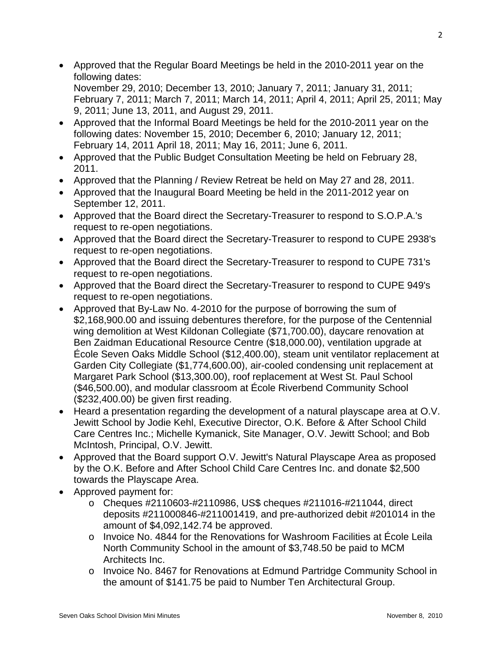- Approved that the Regular Board Meetings be held in the 2010-2011 year on the following dates: November 29, 2010; December 13, 2010; January 7, 2011; January 31, 2011; February 7, 2011; March 7, 2011; March 14, 2011; April 4, 2011; April 25, 2011; May 9, 2011; June 13, 2011, and August 29, 2011.
- Approved that the Informal Board Meetings be held for the 2010-2011 year on the following dates: November 15, 2010; December 6, 2010; January 12, 2011; February 14, 2011 April 18, 2011; May 16, 2011; June 6, 2011.
- Approved that the Public Budget Consultation Meeting be held on February 28, 2011.
- Approved that the Planning / Review Retreat be held on May 27 and 28, 2011.
- Approved that the Inaugural Board Meeting be held in the 2011-2012 year on September 12, 2011.
- Approved that the Board direct the Secretary-Treasurer to respond to S.O.P.A.'s request to re-open negotiations.
- Approved that the Board direct the Secretary-Treasurer to respond to CUPE 2938's request to re-open negotiations.
- Approved that the Board direct the Secretary-Treasurer to respond to CUPE 731's request to re-open negotiations.
- Approved that the Board direct the Secretary-Treasurer to respond to CUPE 949's request to re-open negotiations.
- Approved that By-Law No. 4-2010 for the purpose of borrowing the sum of \$2,168,900.00 and issuing debentures therefore, for the purpose of the Centennial wing demolition at West Kildonan Collegiate (\$71,700.00), daycare renovation at Ben Zaidman Educational Resource Centre (\$18,000.00), ventilation upgrade at École Seven Oaks Middle School (\$12,400.00), steam unit ventilator replacement at Garden City Collegiate (\$1,774,600.00), air-cooled condensing unit replacement at Margaret Park School (\$13,300.00), roof replacement at West St. Paul School (\$46,500.00), and modular classroom at École Riverbend Community School (\$232,400.00) be given first reading.
- Heard a presentation regarding the development of a natural playscape area at O.V. Jewitt School by Jodie Kehl, Executive Director, O.K. Before & After School Child Care Centres Inc.; Michelle Kymanick, Site Manager, O.V. Jewitt School; and Bob McIntosh, Principal, O.V. Jewitt.
- Approved that the Board support O.V. Jewitt's Natural Playscape Area as proposed by the O.K. Before and After School Child Care Centres Inc. and donate \$2,500 towards the Playscape Area.
- Approved payment for:
	- o Cheques #2110603-#2110986, US\$ cheques #211016-#211044, direct deposits #211000846-#211001419, and pre-authorized debit #201014 in the amount of \$4,092,142.74 be approved.
	- o Invoice No. 4844 for the Renovations for Washroom Facilities at École Leila North Community School in the amount of \$3,748.50 be paid to MCM Architects Inc.
	- o Invoice No. 8467 for Renovations at Edmund Partridge Community School in the amount of \$141.75 be paid to Number Ten Architectural Group.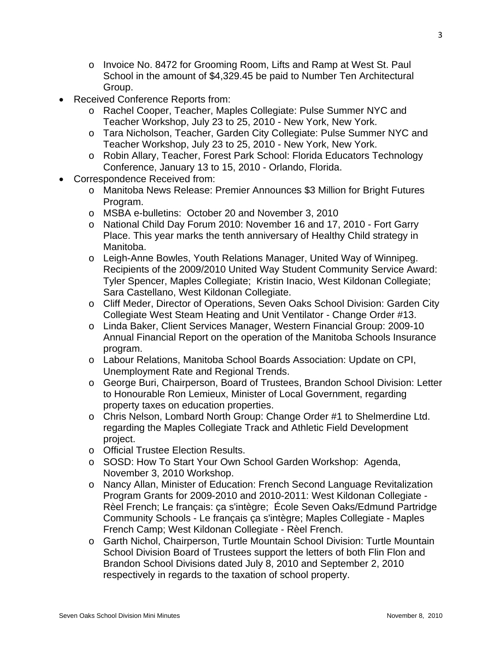- o Invoice No. 8472 for Grooming Room, Lifts and Ramp at West St. Paul School in the amount of \$4,329.45 be paid to Number Ten Architectural Group.
- Received Conference Reports from:
	- o Rachel Cooper, Teacher, Maples Collegiate: Pulse Summer NYC and Teacher Workshop, July 23 to 25, 2010 - New York, New York.
	- o Tara Nicholson, Teacher, Garden City Collegiate: Pulse Summer NYC and Teacher Workshop, July 23 to 25, 2010 - New York, New York.
	- o Robin Allary, Teacher, Forest Park School: Florida Educators Technology Conference, January 13 to 15, 2010 - Orlando, Florida.
- Correspondence Received from:
	- o Manitoba News Release: Premier Announces \$3 Million for Bright Futures Program.
	- o MSBA e-bulletins: October 20 and November 3, 2010
	- o National Child Day Forum 2010: November 16 and 17, 2010 Fort Garry Place. This year marks the tenth anniversary of Healthy Child strategy in Manitoba.
	- o Leigh-Anne Bowles, Youth Relations Manager, United Way of Winnipeg. Recipients of the 2009/2010 United Way Student Community Service Award: Tyler Spencer, Maples Collegiate; Kristin Inacio, West Kildonan Collegiate; Sara Castellano, West Kildonan Collegiate.
	- o Cliff Meder, Director of Operations, Seven Oaks School Division: Garden City Collegiate West Steam Heating and Unit Ventilator - Change Order #13.
	- o Linda Baker, Client Services Manager, Western Financial Group: 2009-10 Annual Financial Report on the operation of the Manitoba Schools Insurance program.
	- o Labour Relations, Manitoba School Boards Association: Update on CPI, Unemployment Rate and Regional Trends.
	- o George Buri, Chairperson, Board of Trustees, Brandon School Division: Letter to Honourable Ron Lemieux, Minister of Local Government, regarding property taxes on education properties.
	- o Chris Nelson, Lombard North Group: Change Order #1 to Shelmerdine Ltd. regarding the Maples Collegiate Track and Athletic Field Development project.
	- o Official Trustee Election Results.
	- o SOSD: How To Start Your Own School Garden Workshop: Agenda, November 3, 2010 Workshop.
	- o Nancy Allan, Minister of Education: French Second Language Revitalization Program Grants for 2009-2010 and 2010-2011: West Kildonan Collegiate - Rèel French; Le français: ça s'intègre; École Seven Oaks/Edmund Partridge Community Schools - Le français ça s'intègre; Maples Collegiate - Maples French Camp; West Kildonan Collegiate - Rèel French.
	- o Garth Nichol, Chairperson, Turtle Mountain School Division: Turtle Mountain School Division Board of Trustees support the letters of both Flin Flon and Brandon School Divisions dated July 8, 2010 and September 2, 2010 respectively in regards to the taxation of school property.